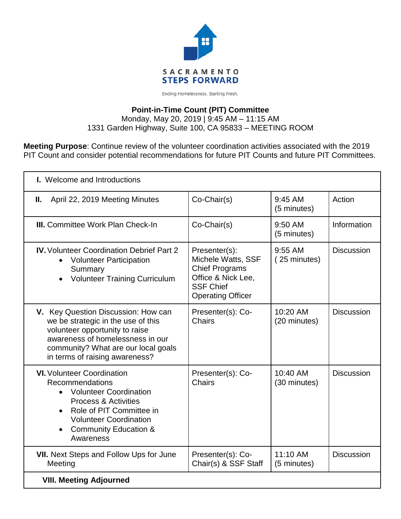

Ending Homelessness. Starting Fresh.

## **Point-in-Time Count (PIT) Committee**

Monday, May 20, 2019 | 9:45 AM – 11:15 AM 1331 Garden Highway, Suite 100, CA 95833 – MEETING ROOM

**Meeting Purpose**: Continue review of the volunteer coordination activities associated with the 2019 PIT Count and consider potential recommendations for future PIT Counts and future PIT Committees.

| <b>I.</b> Welcome and Introductions                                                                                                                                                                                                                   |                                                                                                                                    |                            |                   |
|-------------------------------------------------------------------------------------------------------------------------------------------------------------------------------------------------------------------------------------------------------|------------------------------------------------------------------------------------------------------------------------------------|----------------------------|-------------------|
| Ш.<br>April 22, 2019 Meeting Minutes                                                                                                                                                                                                                  | Co-Chair(s)                                                                                                                        | $9:45$ AM<br>(5 minutes)   | Action            |
| <b>III.</b> Committee Work Plan Check-In                                                                                                                                                                                                              | Co-Chair(s)                                                                                                                        | 9:50 AM<br>(5 minutes)     | Information       |
| <b>IV.</b> Volunteer Coordination Debrief Part 2<br><b>Volunteer Participation</b><br>Summary<br><b>Volunteer Training Curriculum</b><br>$\bullet$                                                                                                    | Presenter(s):<br>Michele Watts, SSF<br><b>Chief Programs</b><br>Office & Nick Lee,<br><b>SSF Chief</b><br><b>Operating Officer</b> | $9:55$ AM<br>(25 minutes)  | <b>Discussion</b> |
| V. Key Question Discussion: How can<br>we be strategic in the use of this<br>volunteer opportunity to raise<br>awareness of homelessness in our<br>community? What are our local goals<br>in terms of raising awareness?                              | Presenter(s): Co-<br>Chairs                                                                                                        | 10:20 AM<br>(20 minutes)   | <b>Discussion</b> |
| <b>VI.</b> Volunteer Coordination<br><b>Recommendations</b><br>• Volunteer Coordination<br><b>Process &amp; Activities</b><br>Role of PIT Committee in<br>$\bullet$<br><b>Volunteer Coordination</b><br><b>Community Education &amp;</b><br>Awareness | Presenter(s): Co-<br><b>Chairs</b>                                                                                                 | $10:40$ AM<br>(30 minutes) | <b>Discussion</b> |
| <b>VII.</b> Next Steps and Follow Ups for June<br>Meeting                                                                                                                                                                                             | Presenter(s): Co-<br>Chair(s) & SSF Staff                                                                                          | 11:10 AM<br>(5 minutes)    | <b>Discussion</b> |
| <b>VIII. Meeting Adjourned</b>                                                                                                                                                                                                                        |                                                                                                                                    |                            |                   |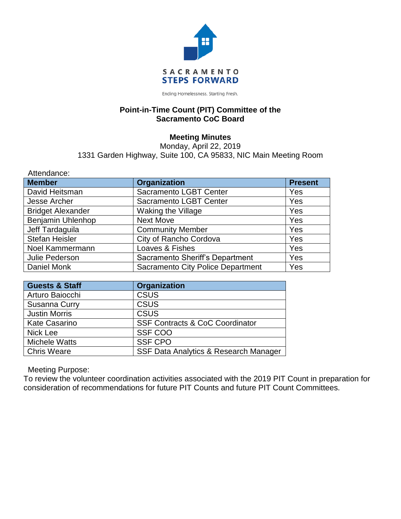

Ending Homelessness. Starting Fresh.

#### **Point-in-Time Count (PIT) Committee of the Sacramento CoC Board**

### **Meeting Minutes**

Monday, April 22, 2019 1331 Garden Highway, Suite 100, CA 95833, NIC Main Meeting Room

| Attendance:              |                                          |                |
|--------------------------|------------------------------------------|----------------|
| <b>Member</b>            | <b>Organization</b>                      | <b>Present</b> |
| David Heitsman           | Sacramento LGBT Center                   | Yes            |
| Jesse Archer             | <b>Sacramento LGBT Center</b>            | Yes            |
| <b>Bridget Alexander</b> | Waking the Village                       | Yes            |
| Benjamin Uhlenhop        | <b>Next Move</b>                         | Yes            |
| Jeff Tardaguila          | <b>Community Member</b>                  | Yes            |
| <b>Stefan Heisler</b>    | City of Rancho Cordova                   | Yes            |
| Noel Kammermann          | Loaves & Fishes                          | Yes            |
| Julie Pederson           | Sacramento Sheriff's Department          | Yes            |
| Daniel Monk              | <b>Sacramento City Police Department</b> | Yes            |

| <b>Guests &amp; Staff</b> | Organization                               |  |
|---------------------------|--------------------------------------------|--|
| Arturo Baiocchi           | <b>CSUS</b>                                |  |
| Susanna Curry             | <b>CSUS</b>                                |  |
| <b>Justin Morris</b>      | <b>CSUS</b>                                |  |
| <b>Kate Casarino</b>      | <b>SSF Contracts &amp; CoC Coordinator</b> |  |
| Nick Lee                  | SSF COO                                    |  |
| <b>Michele Watts</b>      | <b>SSF CPO</b>                             |  |
| <b>Chris Weare</b>        | SSF Data Analytics & Research Manager      |  |

Meeting Purpose:

To review the volunteer coordination activities associated with the 2019 PIT Count in preparation for consideration of recommendations for future PIT Counts and future PIT Count Committees.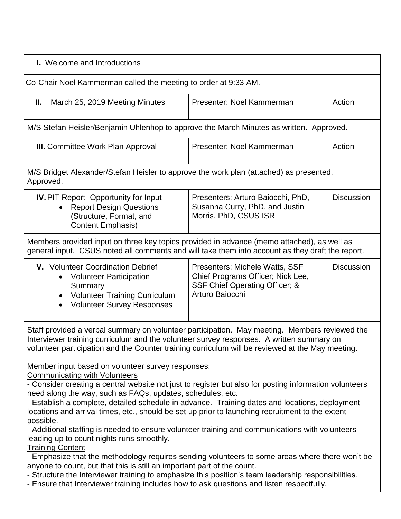| I. Welcome and Introductions                                                                                                                                                                                                                                                                                                                                                                                                                                                                                                                                                                                                                                                                                                                                                                                                                                                                                                                                                                                                                                                                                                                                                                                                                                                                                                                       |                                                                                                                          |                   |  |  |
|----------------------------------------------------------------------------------------------------------------------------------------------------------------------------------------------------------------------------------------------------------------------------------------------------------------------------------------------------------------------------------------------------------------------------------------------------------------------------------------------------------------------------------------------------------------------------------------------------------------------------------------------------------------------------------------------------------------------------------------------------------------------------------------------------------------------------------------------------------------------------------------------------------------------------------------------------------------------------------------------------------------------------------------------------------------------------------------------------------------------------------------------------------------------------------------------------------------------------------------------------------------------------------------------------------------------------------------------------|--------------------------------------------------------------------------------------------------------------------------|-------------------|--|--|
| Co-Chair Noel Kammerman called the meeting to order at 9:33 AM.                                                                                                                                                                                                                                                                                                                                                                                                                                                                                                                                                                                                                                                                                                                                                                                                                                                                                                                                                                                                                                                                                                                                                                                                                                                                                    |                                                                                                                          |                   |  |  |
| March 25, 2019 Meeting Minutes<br>Н.                                                                                                                                                                                                                                                                                                                                                                                                                                                                                                                                                                                                                                                                                                                                                                                                                                                                                                                                                                                                                                                                                                                                                                                                                                                                                                               | Presenter: Noel Kammerman                                                                                                | Action            |  |  |
| M/S Stefan Heisler/Benjamin Uhlenhop to approve the March Minutes as written. Approved.                                                                                                                                                                                                                                                                                                                                                                                                                                                                                                                                                                                                                                                                                                                                                                                                                                                                                                                                                                                                                                                                                                                                                                                                                                                            |                                                                                                                          |                   |  |  |
| <b>III.</b> Committee Work Plan Approval                                                                                                                                                                                                                                                                                                                                                                                                                                                                                                                                                                                                                                                                                                                                                                                                                                                                                                                                                                                                                                                                                                                                                                                                                                                                                                           | Presenter: Noel Kammerman                                                                                                | Action            |  |  |
| M/S Bridget Alexander/Stefan Heisler to approve the work plan (attached) as presented.<br>Approved.                                                                                                                                                                                                                                                                                                                                                                                                                                                                                                                                                                                                                                                                                                                                                                                                                                                                                                                                                                                                                                                                                                                                                                                                                                                |                                                                                                                          |                   |  |  |
| <b>IV.</b> PIT Report- Opportunity for Input<br><b>Report Design Questions</b><br>(Structure, Format, and<br>Content Emphasis)                                                                                                                                                                                                                                                                                                                                                                                                                                                                                                                                                                                                                                                                                                                                                                                                                                                                                                                                                                                                                                                                                                                                                                                                                     | Presenters: Arturo Baiocchi, PhD,<br>Susanna Curry, PhD, and Justin<br>Morris, PhD, CSUS ISR                             | <b>Discussion</b> |  |  |
| Members provided input on three key topics provided in advance (memo attached), as well as<br>general input. CSUS noted all comments and will take them into account as they draft the report.                                                                                                                                                                                                                                                                                                                                                                                                                                                                                                                                                                                                                                                                                                                                                                                                                                                                                                                                                                                                                                                                                                                                                     |                                                                                                                          |                   |  |  |
| V. Volunteer Coordination Debrief<br><b>Volunteer Participation</b><br>Summary<br><b>Volunteer Training Curriculum</b><br><b>Volunteer Survey Responses</b>                                                                                                                                                                                                                                                                                                                                                                                                                                                                                                                                                                                                                                                                                                                                                                                                                                                                                                                                                                                                                                                                                                                                                                                        | Presenters: Michele Watts, SSF<br>Chief Programs Officer; Nick Lee,<br>SSF Chief Operating Officer; &<br>Arturo Baiocchi | <b>Discussion</b> |  |  |
| Staff provided a verbal summary on volunteer participation. May meeting. Members reviewed the<br>Interviewer training curriculum and the volunteer survey responses. A written summary on<br>volunteer participation and the Counter training curriculum will be reviewed at the May meeting.<br>Member input based on volunteer survey responses:<br><b>Communicating with Volunteers</b><br>- Consider creating a central website not just to register but also for posting information volunteers<br>need along the way, such as FAQs, updates, schedules, etc.<br>- Establish a complete, detailed schedule in advance. Training dates and locations, deployment<br>locations and arrival times, etc., should be set up prior to launching recruitment to the extent<br>possible.<br>- Additional staffing is needed to ensure volunteer training and communications with volunteers<br>leading up to count nights runs smoothly.<br><b>Training Content</b><br>- Emphasize that the methodology requires sending volunteers to some areas where there won't be<br>anyone to count, but that this is still an important part of the count.<br>- Structure the Interviewer training to emphasize this position's team leadership responsibilities.<br>- Ensure that Interviewer training includes how to ask questions and listen respectfully. |                                                                                                                          |                   |  |  |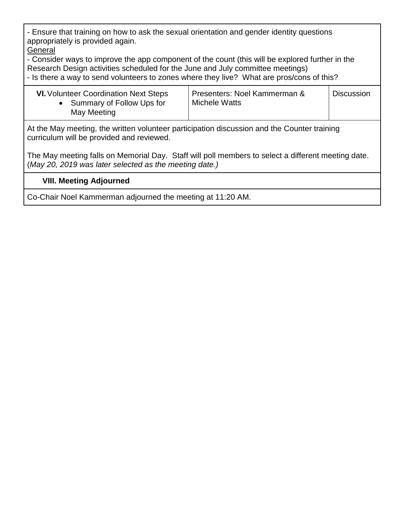- Ensure that training on how to ask the sexual orientation and gender identity questions appropriately is provided again. **General** 

- Consider ways to improve the app component of the count (this will be explored further in the Research Design activities scheduled for the June and July committee meetings) - Is there a way to send volunteers to zones where they live? What are pros/cons of this?

| Michele Watts<br>• Summary of Follow Ups for<br>May Meeting |
|-------------------------------------------------------------|
|-------------------------------------------------------------|

At the May meeting, the written volunteer participation discussion and the Counter training curriculum will be provided and reviewed.

The May meeting falls on Memorial Day. Staff will poll members to select a different meeting date. (*May 20, 2019 was later selected as the meeting date.)*

### **VIII. Meeting Adjourned**

Co-Chair Noel Kammerman adjourned the meeting at 11:20 AM.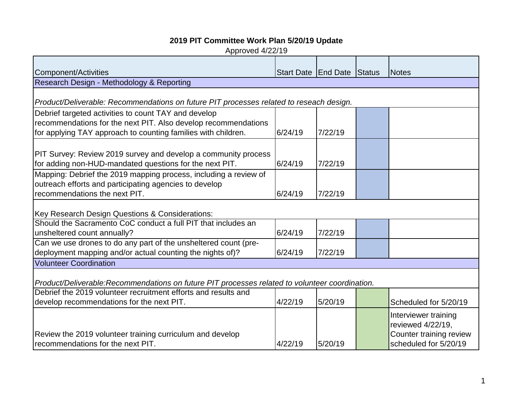# **2019 PIT Committee Work Plan 5/20/19 Update**

Approved 4/22/19

| Component/Activities                                                                                                                                                                    | Start Date End Date Status |         | Notes                                                                                         |
|-----------------------------------------------------------------------------------------------------------------------------------------------------------------------------------------|----------------------------|---------|-----------------------------------------------------------------------------------------------|
| Research Design - Methodology & Reporting                                                                                                                                               |                            |         |                                                                                               |
| Product/Deliverable: Recommendations on future PIT processes related to reseach design.                                                                                                 |                            |         |                                                                                               |
| Debrief targeted activities to count TAY and develop<br>recommendations for the next PIT. Also develop recommendations<br>for applying TAY approach to counting families with children. | 6/24/19                    | 7/22/19 |                                                                                               |
| PIT Survey: Review 2019 survey and develop a community process<br>for adding non-HUD-mandated questions for the next PIT.                                                               | 6/24/19                    | 7/22/19 |                                                                                               |
| Mapping: Debrief the 2019 mapping process, including a review of<br>outreach efforts and participating agencies to develop<br>recommendations the next PIT.                             | 6/24/19                    | 7/22/19 |                                                                                               |
| Key Research Design Questions & Considerations:                                                                                                                                         |                            |         |                                                                                               |
| Should the Sacramento CoC conduct a full PIT that includes an<br>unsheltered count annually?                                                                                            | 6/24/19                    | 7/22/19 |                                                                                               |
| Can we use drones to do any part of the unsheltered count (pre-<br>deployment mapping and/or actual counting the nights of)?                                                            | 6/24/19                    | 7/22/19 |                                                                                               |
| <b>Volunteer Coordination</b>                                                                                                                                                           |                            |         |                                                                                               |
| Product/Deliverable:Recommendations on future PIT processes related to volunteer coordination.                                                                                          |                            |         |                                                                                               |
| Debrief the 2019 volunteer recruitment efforts and results and<br>develop recommendations for the next PIT.                                                                             | 4/22/19                    | 5/20/19 | Scheduled for 5/20/19                                                                         |
| Review the 2019 volunteer training curriculum and develop<br>recommendations for the next PIT.                                                                                          | 4/22/19                    | 5/20/19 | Interviewer training<br>reviewed 4/22/19,<br>Counter training review<br>scheduled for 5/20/19 |